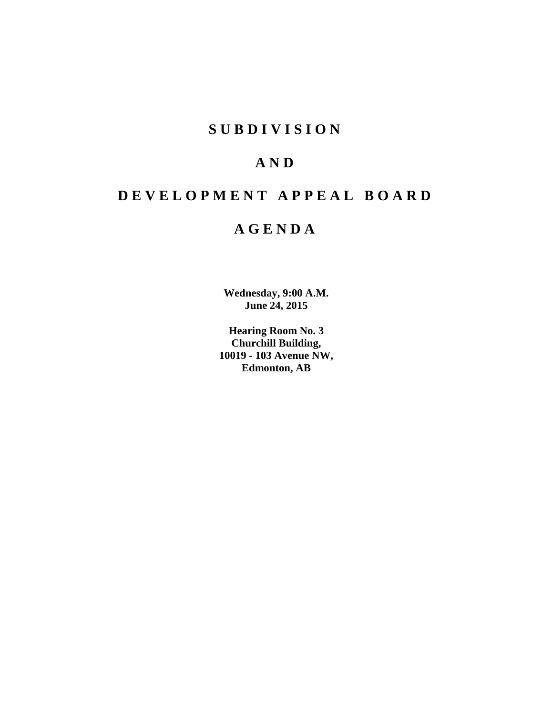## **S U B D I V I S I O N**

# **A N D**

# **D E V E L O P M E N T A P P E A L B O A R D**

## **A G E N D A**

**Wednesday, 9:00 A.M. June 24, 2015**

**Hearing Room No. 3 Churchill Building, 10019 - 103 Avenue NW, Edmonton, AB**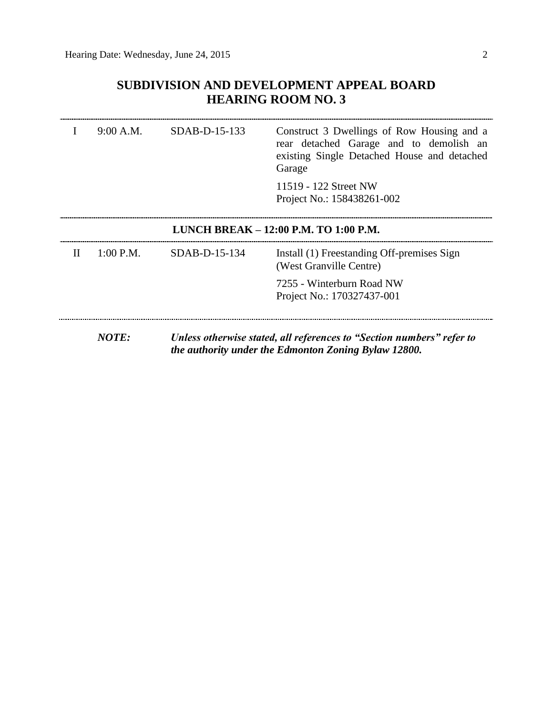## **SUBDIVISION AND DEVELOPMENT APPEAL BOARD HEARING ROOM NO. 3**

|                                       | 9:00 A.M. | SDAB-D-15-133   | Construct 3 Dwellings of Row Housing and a<br>rear detached Garage and to demolish an<br>existing Single Detached House and detached<br>Garage |  |
|---------------------------------------|-----------|-----------------|------------------------------------------------------------------------------------------------------------------------------------------------|--|
|                                       |           |                 | 11519 - 122 Street NW<br>Project No.: 158438261-002                                                                                            |  |
| LUNCH BREAK – 12:00 P.M. TO 1:00 P.M. |           |                 |                                                                                                                                                |  |
| П                                     | 1:00 P.M. | $SDAB-D-15-134$ | Install (1) Freestanding Off-premises Sign<br>(West Granville Centre)                                                                          |  |
|                                       |           |                 | 7255 - Winterburn Road NW<br>Project No.: 170327437-001                                                                                        |  |
|                                       | NOTE:     |                 | Unless otherwise stated, all references to "Section numbers" refer to<br>the authority under the Edmonton Zoning Bylaw 12800.                  |  |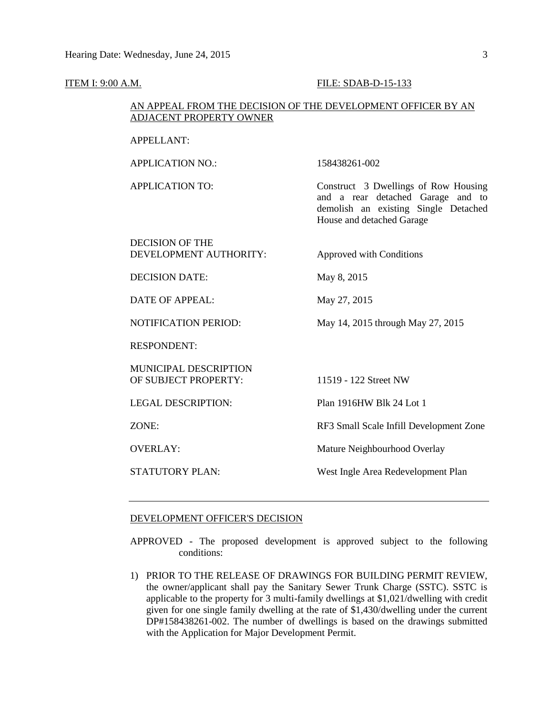#### **ITEM I: 9:00 A.M. FILE: SDAB-D-15-133**

#### AN APPEAL FROM THE DECISION OF THE DEVELOPMENT OFFICER BY AN ADJACENT PROPERTY OWNER

#### APPELLANT:

APPLICATION NO.: 158438261-002

APPLICATION TO: Construct 3 Dwellings of Row Housing and a rear detached Garage and to demolish an existing Single Detached House and detached Garage

#### DECISION OF THE DEVELOPMENT AUTHORITY: Approved with Conditions

DECISION DATE: May 8, 2015

DATE OF APPEAL: May 27, 2015

NOTIFICATION PERIOD: May 14, 2015 through May 27, 2015

RESPONDENT:

MUNICIPAL DESCRIPTION OF SUBJECT PROPERTY: 11519 - 122 Street NW

LEGAL DESCRIPTION: Plan 1916HW Blk 24 Lot 1

ZONE: RF3 Small Scale Infill Development Zone

OVERLAY: Mature Neighbourhood Overlay

STATUTORY PLAN: West Ingle Area Redevelopment Plan

#### DEVELOPMENT OFFICER'S DECISION

APPROVED - The proposed development is approved subject to the following conditions:

1) PRIOR TO THE RELEASE OF DRAWINGS FOR BUILDING PERMIT REVIEW, the owner/applicant shall pay the Sanitary Sewer Trunk Charge (SSTC). SSTC is applicable to the property for 3 multi-family dwellings at \$1,021/dwelling with credit given for one single family dwelling at the rate of \$1,430/dwelling under the current DP#158438261-002. The number of dwellings is based on the drawings submitted with the Application for Major Development Permit.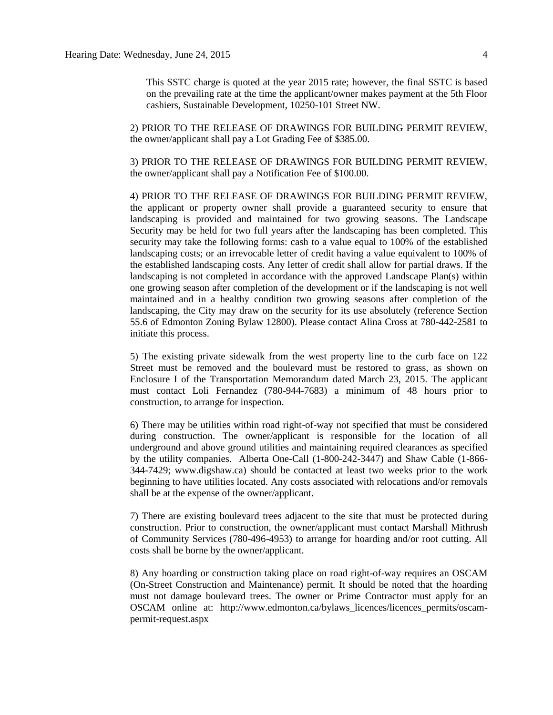This SSTC charge is quoted at the year 2015 rate; however, the final SSTC is based on the prevailing rate at the time the applicant/owner makes payment at the 5th Floor cashiers, Sustainable Development, 10250-101 Street NW.

2) PRIOR TO THE RELEASE OF DRAWINGS FOR BUILDING PERMIT REVIEW, the owner/applicant shall pay a Lot Grading Fee of \$385.00.

3) PRIOR TO THE RELEASE OF DRAWINGS FOR BUILDING PERMIT REVIEW, the owner/applicant shall pay a Notification Fee of \$100.00.

4) PRIOR TO THE RELEASE OF DRAWINGS FOR BUILDING PERMIT REVIEW, the applicant or property owner shall provide a guaranteed security to ensure that landscaping is provided and maintained for two growing seasons. The Landscape Security may be held for two full years after the landscaping has been completed. This security may take the following forms: cash to a value equal to 100% of the established landscaping costs; or an irrevocable letter of credit having a value equivalent to 100% of the established landscaping costs. Any letter of credit shall allow for partial draws. If the landscaping is not completed in accordance with the approved Landscape Plan(s) within one growing season after completion of the development or if the landscaping is not well maintained and in a healthy condition two growing seasons after completion of the landscaping, the City may draw on the security for its use absolutely (reference Section 55.6 of Edmonton Zoning Bylaw 12800). Please contact Alina Cross at 780-442-2581 to initiate this process.

5) The existing private sidewalk from the west property line to the curb face on 122 Street must be removed and the boulevard must be restored to grass, as shown on Enclosure I of the Transportation Memorandum dated March 23, 2015. The applicant must contact Loli Fernandez (780-944-7683) a minimum of 48 hours prior to construction, to arrange for inspection.

6) There may be utilities within road right-of-way not specified that must be considered during construction. The owner/applicant is responsible for the location of all underground and above ground utilities and maintaining required clearances as specified by the utility companies. Alberta One-Call (1-800-242-3447) and Shaw Cable (1-866- 344-7429; www.digshaw.ca) should be contacted at least two weeks prior to the work beginning to have utilities located. Any costs associated with relocations and/or removals shall be at the expense of the owner/applicant.

7) There are existing boulevard trees adjacent to the site that must be protected during construction. Prior to construction, the owner/applicant must contact Marshall Mithrush of Community Services (780-496-4953) to arrange for hoarding and/or root cutting. All costs shall be borne by the owner/applicant.

8) Any hoarding or construction taking place on road right-of-way requires an OSCAM (On-Street Construction and Maintenance) permit. It should be noted that the hoarding must not damage boulevard trees. The owner or Prime Contractor must apply for an OSCAM online at: http://www.edmonton.ca/bylaws\_licences/licences\_permits/oscampermit-request.aspx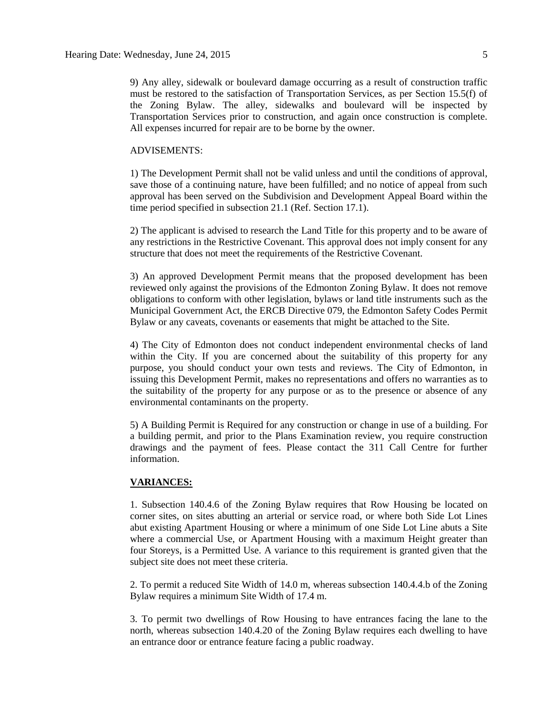9) Any alley, sidewalk or boulevard damage occurring as a result of construction traffic must be restored to the satisfaction of Transportation Services, as per Section 15.5(f) of the Zoning Bylaw. The alley, sidewalks and boulevard will be inspected by Transportation Services prior to construction, and again once construction is complete. All expenses incurred for repair are to be borne by the owner.

#### ADVISEMENTS:

1) The Development Permit shall not be valid unless and until the conditions of approval, save those of a continuing nature, have been fulfilled; and no notice of appeal from such approval has been served on the Subdivision and Development Appeal Board within the time period specified in subsection 21.1 (Ref. Section 17.1).

2) The applicant is advised to research the Land Title for this property and to be aware of any restrictions in the Restrictive Covenant. This approval does not imply consent for any structure that does not meet the requirements of the Restrictive Covenant.

3) An approved Development Permit means that the proposed development has been reviewed only against the provisions of the Edmonton Zoning Bylaw. It does not remove obligations to conform with other legislation, bylaws or land title instruments such as the Municipal Government Act, the ERCB Directive 079, the Edmonton Safety Codes Permit Bylaw or any caveats, covenants or easements that might be attached to the Site.

4) The City of Edmonton does not conduct independent environmental checks of land within the City. If you are concerned about the suitability of this property for any purpose, you should conduct your own tests and reviews. The City of Edmonton, in issuing this Development Permit, makes no representations and offers no warranties as to the suitability of the property for any purpose or as to the presence or absence of any environmental contaminants on the property.

5) A Building Permit is Required for any construction or change in use of a building. For a building permit, and prior to the Plans Examination review, you require construction drawings and the payment of fees. Please contact the 311 Call Centre for further information.

#### **VARIANCES:**

1. Subsection 140.4.6 of the Zoning Bylaw requires that Row Housing be located on corner sites, on sites abutting an arterial or service road, or where both Side Lot Lines abut existing Apartment Housing or where a minimum of one Side Lot Line abuts a Site where a commercial Use, or Apartment Housing with a maximum Height greater than four Storeys, is a Permitted Use. A variance to this requirement is granted given that the subject site does not meet these criteria.

2. To permit a reduced Site Width of 14.0 m, whereas subsection 140.4.4.b of the Zoning Bylaw requires a minimum Site Width of 17.4 m.

3. To permit two dwellings of Row Housing to have entrances facing the lane to the north, whereas subsection 140.4.20 of the Zoning Bylaw requires each dwelling to have an entrance door or entrance feature facing a public roadway.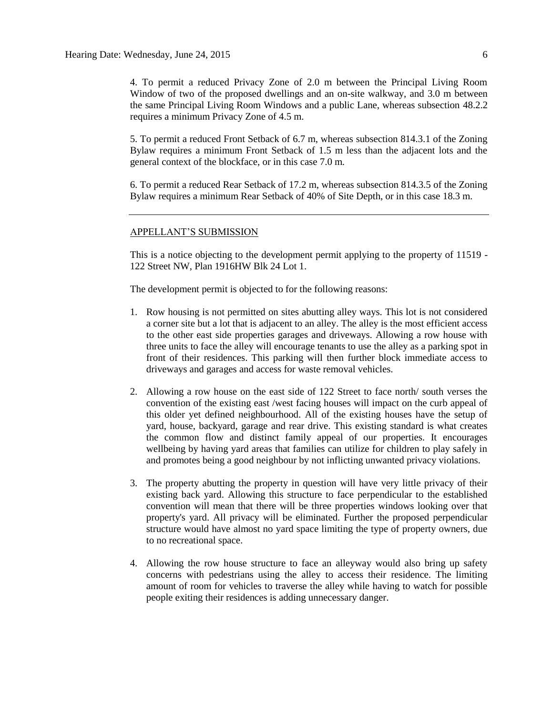4. To permit a reduced Privacy Zone of 2.0 m between the Principal Living Room Window of two of the proposed dwellings and an on-site walkway, and 3.0 m between the same Principal Living Room Windows and a public Lane, whereas subsection 48.2.2 requires a minimum Privacy Zone of 4.5 m.

5. To permit a reduced Front Setback of 6.7 m, whereas subsection 814.3.1 of the Zoning Bylaw requires a minimum Front Setback of 1.5 m less than the adjacent lots and the general context of the blockface, or in this case 7.0 m.

6. To permit a reduced Rear Setback of 17.2 m, whereas subsection 814.3.5 of the Zoning Bylaw requires a minimum Rear Setback of 40% of Site Depth, or in this case 18.3 m.

#### APPELLANT'S SUBMISSION

This is a notice objecting to the development permit applying to the property of 11519 - 122 Street NW, Plan 1916HW Blk 24 Lot 1.

The development permit is objected to for the following reasons:

- 1. Row housing is not permitted on sites abutting alley ways. This lot is not considered a corner site but a lot that is adjacent to an alley. The alley is the most efficient access to the other east side properties garages and driveways. Allowing a row house with three units to face the alley will encourage tenants to use the alley as a parking spot in front of their residences. This parking will then further block immediate access to driveways and garages and access for waste removal vehicles.
- 2. Allowing a row house on the east side of 122 Street to face north/ south verses the convention of the existing east /west facing houses will impact on the curb appeal of this older yet defined neighbourhood. All of the existing houses have the setup of yard, house, backyard, garage and rear drive. This existing standard is what creates the common flow and distinct family appeal of our properties. It encourages wellbeing by having yard areas that families can utilize for children to play safely in and promotes being a good neighbour by not inflicting unwanted privacy violations.
- 3. The property abutting the property in question will have very little privacy of their existing back yard. Allowing this structure to face perpendicular to the established convention will mean that there will be three properties windows looking over that property's yard. All privacy will be eliminated. Further the proposed perpendicular structure would have almost no yard space limiting the type of property owners, due to no recreational space.
- 4. Allowing the row house structure to face an alleyway would also bring up safety concerns with pedestrians using the alley to access their residence. The limiting amount of room for vehicles to traverse the alley while having to watch for possible people exiting their residences is adding unnecessary danger.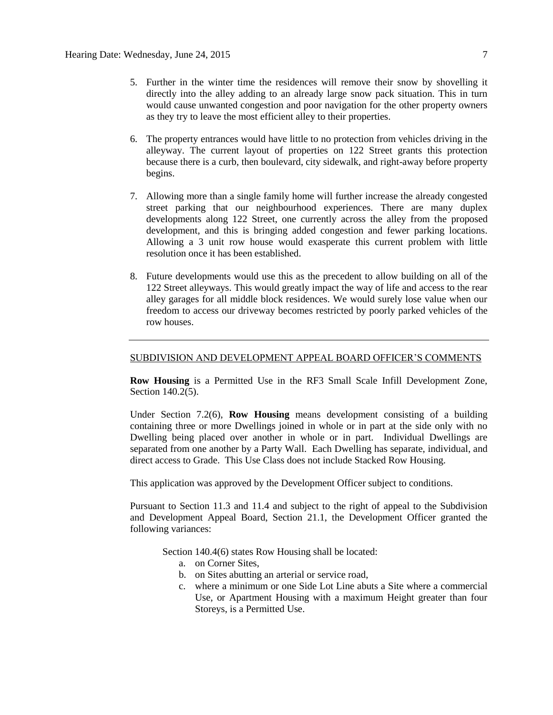- 5. Further in the winter time the residences will remove their snow by shovelling it directly into the alley adding to an already large snow pack situation. This in turn would cause unwanted congestion and poor navigation for the other property owners as they try to leave the most efficient alley to their properties.
- 6. The property entrances would have little to no protection from vehicles driving in the alleyway. The current layout of properties on 122 Street grants this protection because there is a curb, then boulevard, city sidewalk, and right-away before property begins.
- 7. Allowing more than a single family home will further increase the already congested street parking that our neighbourhood experiences. There are many duplex developments along 122 Street, one currently across the alley from the proposed development, and this is bringing added congestion and fewer parking locations. Allowing a 3 unit row house would exasperate this current problem with little resolution once it has been established.
- 8. Future developments would use this as the precedent to allow building on all of the 122 Street alleyways. This would greatly impact the way of life and access to the rear alley garages for all middle block residences. We would surely lose value when our freedom to access our driveway becomes restricted by poorly parked vehicles of the row houses.

#### SUBDIVISION AND DEVELOPMENT APPEAL BOARD OFFICER'S COMMENTS

**Row Housing** is a Permitted Use in the RF3 Small Scale Infill Development Zone, Section 140.2(5).

Under Section 7.2(6), **Row Housing** means development consisting of a building containing three or more Dwellings joined in whole or in part at the side only with no Dwelling being placed over another in whole or in part. Individual Dwellings are separated from one another by a Party Wall. Each Dwelling has separate, individual, and direct access to Grade. This Use Class does not include Stacked Row Housing.

This application was approved by the Development Officer subject to conditions.

Pursuant to Section 11.3 and 11.4 and subject to the right of appeal to the Subdivision and Development Appeal Board, Section 21.1, the Development Officer granted the following variances:

Section 140.4(6) states Row Housing shall be located:

- a. on Corner Sites,
- b. on Sites abutting an arterial or service road,
- c. where a minimum or one Side Lot Line abuts a Site where a commercial Use, or Apartment Housing with a maximum Height greater than four Storeys, is a Permitted Use.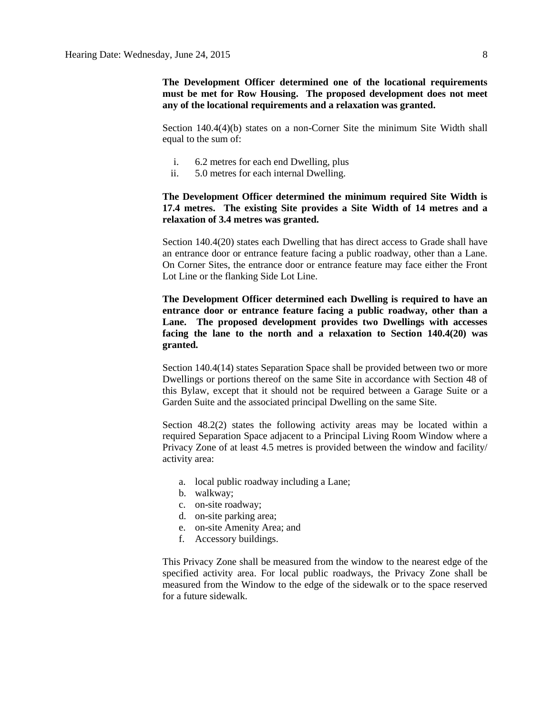**The Development Officer determined one of the locational requirements must be met for Row Housing. The proposed development does not meet any of the locational requirements and a relaxation was granted.**

Section 140.4(4)(b) states on a non-Corner Site the minimum Site Width shall equal to the sum of:

- i. 6.2 metres for each end Dwelling, plus
- ii. 5.0 metres for each internal Dwelling.

### **The Development Officer determined the minimum required Site Width is 17.4 metres. The existing Site provides a Site Width of 14 metres and a relaxation of 3.4 metres was granted.**

Section 140.4(20) states each Dwelling that has direct access to Grade shall have an entrance door or entrance feature facing a public roadway, other than a Lane. On Corner Sites, the entrance door or entrance feature may face either the Front Lot Line or the flanking Side Lot Line.

**The Development Officer determined each Dwelling is required to have an entrance door or entrance feature facing a public roadway, other than a Lane. The proposed development provides two Dwellings with accesses facing the lane to the north and a relaxation to Section 140.4(20) was granted.**

Section 140.4(14) states Separation Space shall be provided between two or more Dwellings or portions thereof on the same Site in accordance with Section 48 of this Bylaw, except that it should not be required between a Garage Suite or a Garden Suite and the associated principal Dwelling on the same Site.

Section 48.2(2) states the following activity areas may be located within a required Separation Space adjacent to a Principal Living Room Window where a Privacy Zone of at least 4.5 metres is provided between the window and facility/ activity area:

- a. local public roadway including a Lane;
- b. walkway;
- c. on-site roadway;
- d. on-site parking area;
- e. on-site Amenity Area; and
- f. Accessory buildings.

This Privacy Zone shall be measured from the window to the nearest edge of the specified activity area. For local public roadways, the Privacy Zone shall be measured from the Window to the edge of the sidewalk or to the space reserved for a future sidewalk.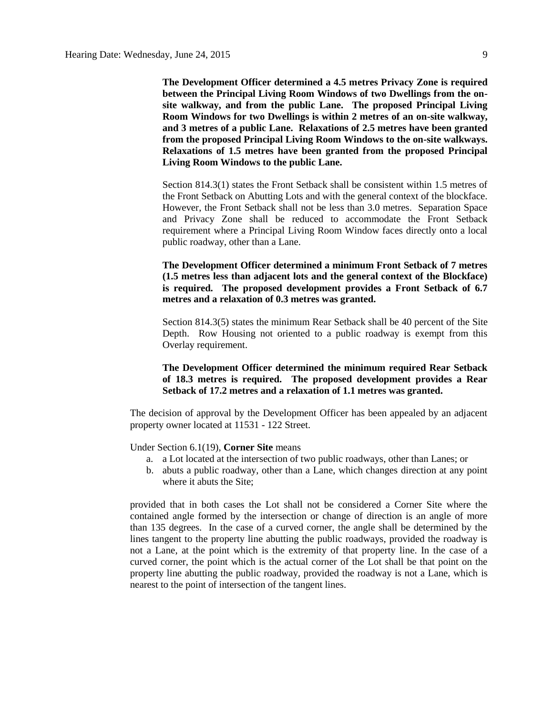**The Development Officer determined a 4.5 metres Privacy Zone is required between the Principal Living Room Windows of two Dwellings from the onsite walkway, and from the public Lane. The proposed Principal Living Room Windows for two Dwellings is within 2 metres of an on-site walkway, and 3 metres of a public Lane. Relaxations of 2.5 metres have been granted from the proposed Principal Living Room Windows to the on-site walkways. Relaxations of 1.5 metres have been granted from the proposed Principal Living Room Windows to the public Lane.**

Section 814.3(1) states the Front Setback shall be consistent within 1.5 metres of the Front Setback on Abutting Lots and with the general context of the blockface. However, the Front Setback shall not be less than 3.0 metres. Separation Space and Privacy Zone shall be reduced to accommodate the Front Setback requirement where a Principal Living Room Window faces directly onto a local public roadway, other than a Lane.

**The Development Officer determined a minimum Front Setback of 7 metres (1.5 metres less than adjacent lots and the general context of the Blockface) is required. The proposed development provides a Front Setback of 6.7 metres and a relaxation of 0.3 metres was granted.**

Section 814.3(5) states the minimum Rear Setback shall be 40 percent of the Site Depth. Row Housing not oriented to a public roadway is exempt from this Overlay requirement.

#### **The Development Officer determined the minimum required Rear Setback of 18.3 metres is required. The proposed development provides a Rear Setback of 17.2 metres and a relaxation of 1.1 metres was granted.**

The decision of approval by the Development Officer has been appealed by an adjacent property owner located at 11531 - 122 Street.

Under Section 6.1(19), **Corner Site** means

- a. a Lot located at the intersection of two public roadways, other than Lanes; or
- b. abuts a public roadway, other than a Lane, which changes direction at any point where it abuts the Site;

provided that in both cases the Lot shall not be considered a Corner Site where the contained angle formed by the intersection or change of direction is an angle of more than 135 degrees. In the case of a curved corner, the angle shall be determined by the lines tangent to the property line abutting the public roadways, provided the roadway is not a Lane, at the point which is the extremity of that property line. In the case of a curved corner, the point which is the actual corner of the Lot shall be that point on the property line abutting the public roadway, provided the roadway is not a Lane, which is nearest to the point of intersection of the tangent lines.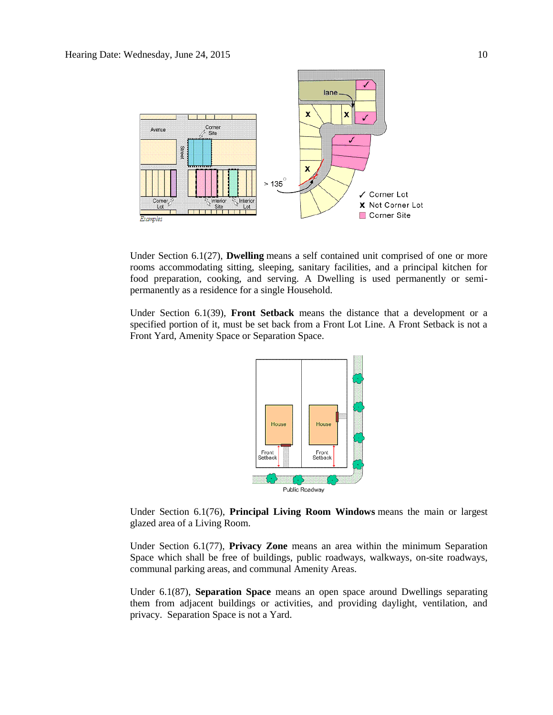

Under Section 6.1(27), **Dwelling** means a self contained unit comprised of one or more rooms accommodating sitting, sleeping, sanitary facilities, and a principal kitchen for food preparation, cooking, and serving. A Dwelling is used permanently or semipermanently as a residence for a single Household.

Under Section 6.1(39), **Front Setback** means the distance that a development or a specified portion of it, must be set back from a Front Lot Line. A Front Setback is not a Front Yard, Amenity Space or Separation Space.



Under Section 6.1(76), **Principal Living Room Windows** means the main or largest glazed area of a Living Room.

Under Section 6.1(77), **Privacy Zone** means an area within the minimum Separation Space which shall be free of buildings, public roadways, walkways, on-site roadways, communal parking areas, and communal Amenity Areas.

Under 6.1(87), **Separation Space** means an open space around Dwellings separating them from adjacent buildings or activities, and providing daylight, ventilation, and privacy. Separation Space is not a Yard.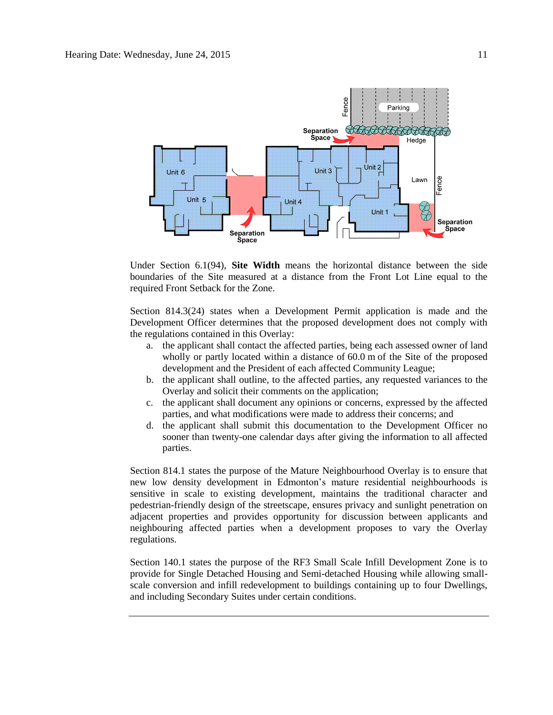

Under Section 6.1(94), **Site Width** means the horizontal distance between the side boundaries of the Site measured at a distance from the Front Lot Line equal to the required Front Setback for the Zone.

Section 814.3(24) states when a Development Permit application is made and the Development Officer determines that the proposed development does not comply with the regulations contained in this Overlay:

- a. the applicant shall contact the affected parties, being each assessed owner of land wholly or partly located within a distance of [60.0](javascript:void(0);) m of the Site of the proposed development and the President of each affected Community League;
- b. the applicant shall outline, to the affected parties, any requested variances to the Overlay and solicit their comments on the application;
- c. the applicant shall document any opinions or concerns, expressed by the affected parties, and what modifications were made to address their concerns; and
- d. the applicant shall submit this documentation to the Development Officer no sooner than twenty-one calendar days after giving the information to all affected parties.

Section 814.1 states the purpose of the Mature Neighbourhood Overlay is to ensure that new low density development in Edmonton's mature residential neighbourhoods is sensitive in scale to existing development, maintains the traditional character and pedestrian-friendly design of the streetscape, ensures privacy and sunlight penetration on adjacent properties and provides opportunity for discussion between applicants and neighbouring affected parties when a development proposes to vary the Overlay regulations.

Section 140.1 states the purpose of the RF3 Small Scale Infill Development Zone is to provide for Single Detached Housing and Semi-detached Housing while allowing smallscale conversion and infill redevelopment to buildings containing up to four Dwellings, and including Secondary Suites under certain conditions.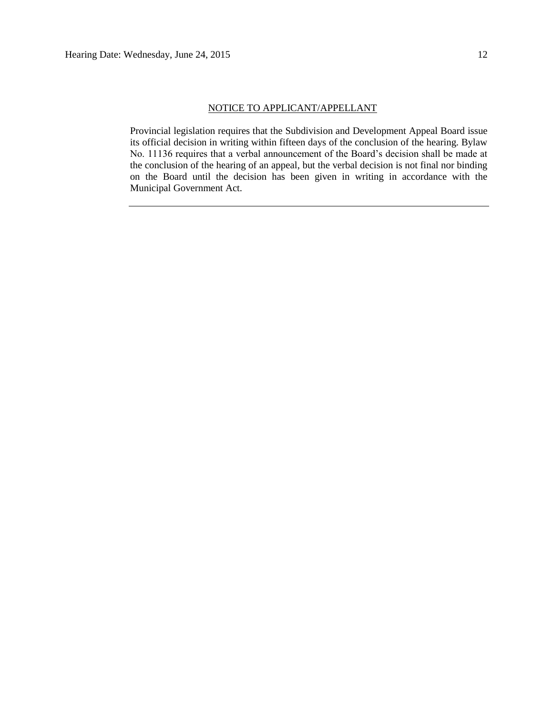#### NOTICE TO APPLICANT/APPELLANT

Provincial legislation requires that the Subdivision and Development Appeal Board issue its official decision in writing within fifteen days of the conclusion of the hearing. Bylaw No. 11136 requires that a verbal announcement of the Board's decision shall be made at the conclusion of the hearing of an appeal, but the verbal decision is not final nor binding on the Board until the decision has been given in writing in accordance with the Municipal Government Act.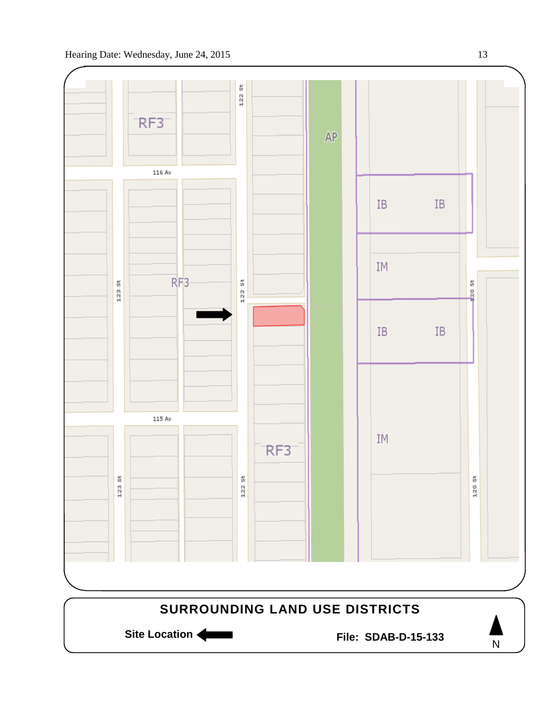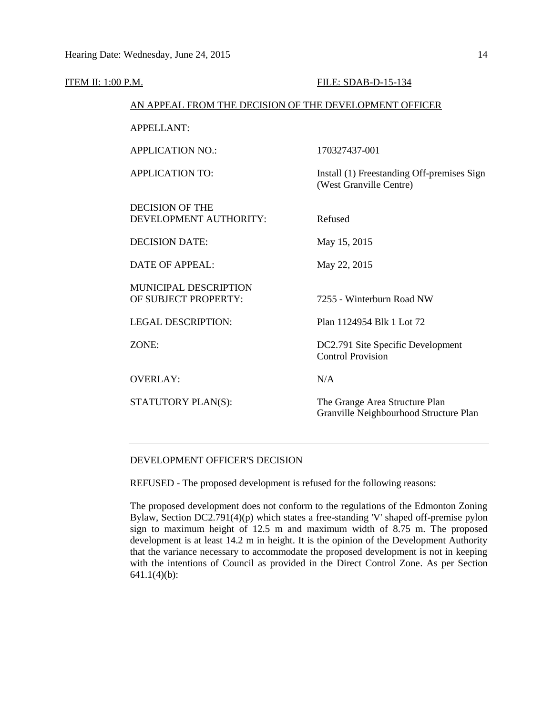| <b>ITEM II: 1:00 P.M.</b> |                                                        | FILE: SDAB-D-15-134                                                      |
|---------------------------|--------------------------------------------------------|--------------------------------------------------------------------------|
|                           | AN APPEAL FROM THE DECISION OF THE DEVELOPMENT OFFICER |                                                                          |
|                           | <b>APPELLANT:</b>                                      |                                                                          |
|                           | <b>APPLICATION NO.:</b>                                | 170327437-001                                                            |
|                           | <b>APPLICATION TO:</b>                                 | Install (1) Freestanding Off-premises Sign<br>(West Granville Centre)    |
|                           | <b>DECISION OF THE</b><br>DEVELOPMENT AUTHORITY:       | Refused                                                                  |
|                           | <b>DECISION DATE:</b>                                  | May 15, 2015                                                             |
|                           | <b>DATE OF APPEAL:</b>                                 | May 22, 2015                                                             |
|                           | MUNICIPAL DESCRIPTION<br>OF SUBJECT PROPERTY:          | 7255 - Winterburn Road NW                                                |
|                           | <b>LEGAL DESCRIPTION:</b>                              | Plan 1124954 Blk 1 Lot 72                                                |
|                           | ZONE:                                                  | DC2.791 Site Specific Development<br><b>Control Provision</b>            |
|                           | <b>OVERLAY:</b>                                        | N/A                                                                      |
|                           | STATUTORY PLAN(S):                                     | The Grange Area Structure Plan<br>Granville Neighbourhood Structure Plan |
|                           |                                                        |                                                                          |

#### DEVELOPMENT OFFICER'S DECISION

REFUSED - The proposed development is refused for the following reasons:

The proposed development does not conform to the regulations of the Edmonton Zoning Bylaw, Section DC2.791(4)(p) which states a free-standing 'V' shaped off-premise pylon sign to maximum height of 12.5 m and maximum width of 8.75 m. The proposed development is at least 14.2 m in height. It is the opinion of the Development Authority that the variance necessary to accommodate the proposed development is not in keeping with the intentions of Council as provided in the Direct Control Zone. As per Section 641.1(4)(b):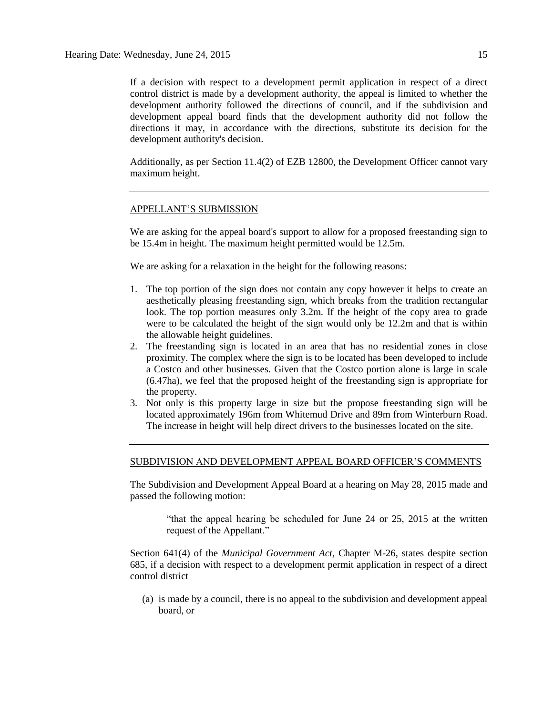If a decision with respect to a development permit application in respect of a direct control district is made by a development authority, the appeal is limited to whether the development authority followed the directions of council, and if the subdivision and development appeal board finds that the development authority did not follow the directions it may, in accordance with the directions, substitute its decision for the development authority's decision.

Additionally, as per Section 11.4(2) of EZB 12800, the Development Officer cannot vary maximum height.

#### APPELLANT'S SUBMISSION

We are asking for the appeal board's support to allow for a proposed freestanding sign to be 15.4m in height. The maximum height permitted would be 12.5m.

We are asking for a relaxation in the height for the following reasons:

- 1. The top portion of the sign does not contain any copy however it helps to create an aesthetically pleasing freestanding sign, which breaks from the tradition rectangular look. The top portion measures only 3.2m. If the height of the copy area to grade were to be calculated the height of the sign would only be 12.2m and that is within the allowable height guidelines.
- 2. The freestanding sign is located in an area that has no residential zones in close proximity. The complex where the sign is to be located has been developed to include a Costco and other businesses. Given that the Costco portion alone is large in scale (6.47ha), we feel that the proposed height of the freestanding sign is appropriate for the property.
- 3. Not only is this property large in size but the propose freestanding sign will be located approximately 196m from Whitemud Drive and 89m from Winterburn Road. The increase in height will help direct drivers to the businesses located on the site.

#### SUBDIVISION AND DEVELOPMENT APPEAL BOARD OFFICER'S COMMENTS

The Subdivision and Development Appeal Board at a hearing on May 28, 2015 made and passed the following motion:

> "that the appeal hearing be scheduled for June 24 or 25, 2015 at the written request of the Appellant."

Section 641(4) of the *Municipal Government Act*, Chapter M-26, states despite section 685, if a decision with respect to a development permit application in respect of a direct control district

(a) is made by a council, there is no appeal to the subdivision and development appeal board, or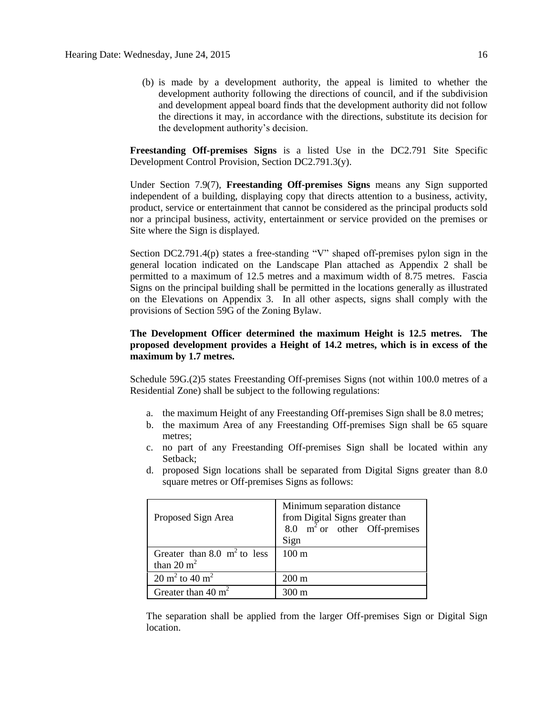(b) is made by a development authority, the appeal is limited to whether the development authority following the directions of council, and if the subdivision and development appeal board finds that the development authority did not follow the directions it may, in accordance with the directions, substitute its decision for the development authority's decision.

**Freestanding Off-premises Signs** is a listed Use in the DC2.791 Site Specific Development Control Provision, Section DC2.791.3(y).

Under Section 7.9(7), **Freestanding Off-premises Signs** means any Sign supported independent of a building, displaying copy that directs attention to a business, activity, product, service or entertainment that cannot be considered as the principal products sold nor a principal business, activity, entertainment or service provided on the premises or Site where the Sign is displayed.

Section DC2.791.4(p) states a free-standing "V" shaped off-premises pylon sign in the general location indicated on the Landscape Plan attached as Appendix 2 shall be permitted to a maximum of 12.5 metres and a maximum width of 8.75 metres. Fascia Signs on the principal building shall be permitted in the locations generally as illustrated on the Elevations on Appendix 3. In all other aspects, signs shall comply with the provisions of Section 59G of the Zoning Bylaw.

#### **The Development Officer determined the maximum Height is 12.5 metres. The proposed development provides a Height of 14.2 metres, which is in excess of the maximum by 1.7 metres.**

Schedule 59G.(2)5 states Freestanding Off-premises Signs (not within 100.0 metres of a Residential Zone) shall be subject to the following regulations:

- a. the maximum Height of any Freestanding Off-premises Sign shall be 8.0 metres;
- b. the maximum Area of any Freestanding Off-premises Sign shall be 65 square metres;
- c. no part of any Freestanding Off-premises Sign shall be located within any Setback;
- d. proposed Sign locations shall be separated from Digital Signs greater than 8.0 square metres or Off-premises Signs as follows:

| Proposed Sign Area                                      | Minimum separation distance<br>from Digital Signs greater than<br>8.0 $m2$ or other Off-premises<br>Sign |
|---------------------------------------------------------|----------------------------------------------------------------------------------------------------------|
| Greater than 8.0 $m^2$ to less<br>than $20 \text{ m}^2$ | $100 \text{ m}$                                                                                          |
| 20 m <sup>2</sup> to 40 m <sup>2</sup>                  | $200 \text{ m}$                                                                                          |
| Greater than $40 \text{ m}^2$                           | $300 \text{ m}$                                                                                          |

The separation shall be applied from the larger Off-premises Sign or Digital Sign location.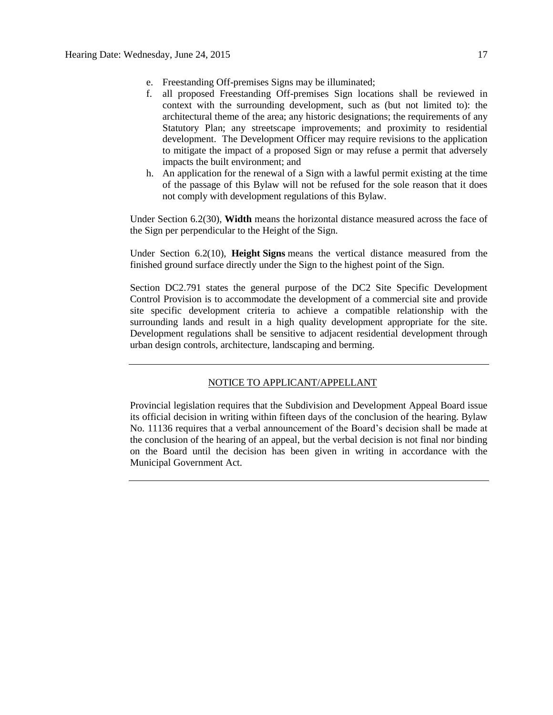- e. Freestanding Off-premises Signs may be illuminated;
- f. all proposed Freestanding Off-premises Sign locations shall be reviewed in context with the surrounding development, such as (but not limited to): the architectural theme of the area; any historic designations; the requirements of any Statutory Plan; any streetscape improvements; and proximity to residential development. The Development Officer may require revisions to the application to mitigate the impact of a proposed Sign or may refuse a permit that adversely impacts the built environment; and
- h. An application for the renewal of a Sign with a lawful permit existing at the time of the passage of this Bylaw will not be refused for the sole reason that it does not comply with development regulations of this Bylaw.

Under Section 6.2(30), **Width** means the horizontal distance measured across the face of the Sign per perpendicular to the Height of the Sign.

Under Section 6.2(10), **Height Signs** means the vertical distance measured from the finished ground surface directly under the Sign to the highest point of the Sign.

Section DC2.791 states the general purpose of the DC2 Site Specific Development Control Provision is to accommodate the development of a commercial site and provide site specific development criteria to achieve a compatible relationship with the surrounding lands and result in a high quality development appropriate for the site. Development regulations shall be sensitive to adjacent residential development through urban design controls, architecture, landscaping and berming.

### NOTICE TO APPLICANT/APPELLANT

Provincial legislation requires that the Subdivision and Development Appeal Board issue its official decision in writing within fifteen days of the conclusion of the hearing. Bylaw No. 11136 requires that a verbal announcement of the Board's decision shall be made at the conclusion of the hearing of an appeal, but the verbal decision is not final nor binding on the Board until the decision has been given in writing in accordance with the Municipal Government Act.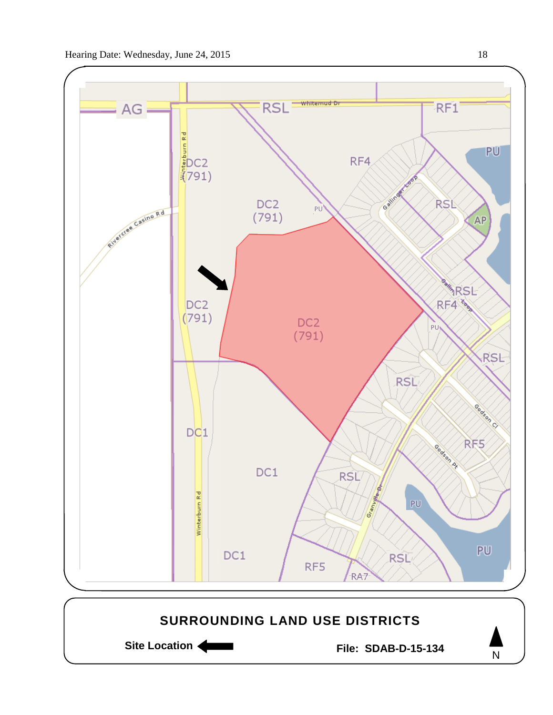